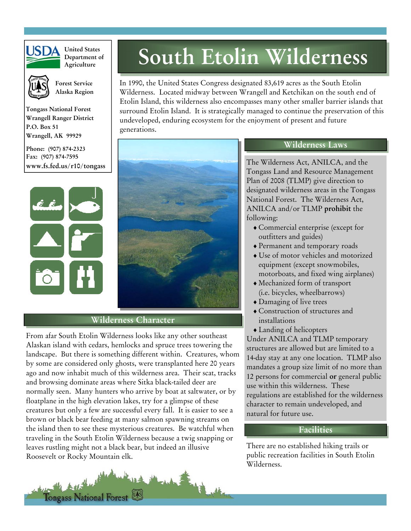

**United States Department of Agriculture**



 **Forest Service Alaska Region** 

**Tongass National Forest Wrangell Ranger District P.O. Box 51 Wrangell, AK 99929** 

**Phone: (907) 874-2323 Fax: (907) 874-7595 www.fs.fed.us/r10/tongass** 



# **Wilderness Character**

generations.

From afar South Etolin Wilderness looks like any other southeast Alaskan island with cedars, hemlocks and spruce trees towering the landscape. But there is something different within. Creatures, whom by some are considered only ghosts, were transplanted here 20 years ago and now inhabit much of this wilderness area. Their scat, tracks and browsing dominate areas where Sitka black-tailed deer are normally seen. Many hunters who arrive by boat at saltwater, or by floatplane in the high elevation lakes, try for a glimpse of these creatures but only a few are successful every fall. It is easier to see a brown or black bear feeding at many salmon spawning streams on the island then to see these mysterious creatures. Be watchful when traveling in the South Etolin Wilderness because a twig snapping or leaves rustling might not a black bear, but indeed an illusive Roosevelt or Rocky Mountain elk.

Tongass National Forest



## **Wilderness Laws**

**South Etolin Wilderness**

In 1990, the United States Congress designated 83,619 acres as the South Etolin Wilderness. Located midway between Wrangell and Ketchikan on the south end of Etolin Island, this wilderness also encompasses many other smaller barrier islands that surround Etolin Island. It is strategically managed to continue the preservation of this

undeveloped, enduring ecosystem for the enjoyment of present and future

The Wilderness Act, ANILCA, and the Tongass Land and Resource Management Plan of 2008 (TLMP) give direction to designated wilderness areas in the Tongass National Forest. The Wilderness Act, ANILCA and/or TLMP **prohibit** the following:

- ♦ Commercial enterprise (except for outfitters and guides)
- ♦ Permanent and temporary roads
- ♦ Use of motor vehicles and motorized equipment (except snowmobiles, motorboats, and fixed wing airplanes)
- ♦ Mechanized form of transport (i.e. bicycles, wheelbarrows)
- ♦ Damaging of live trees
- ♦ Construction of structures and installations
- ♦ Landing of helicopters

Under ANILCA and TLMP temporary structures are allowed but are limited to a 14-day stay at any one location. TLMP also mandates a group size limit of no more than 12 persons for commercial **or** general public use within this wilderness. These regulations are established for the wilderness character to remain undeveloped, and natural for future use.

## **Facilities**

There are no established hiking trails or public recreation facilities in South Etolin Wilderness.